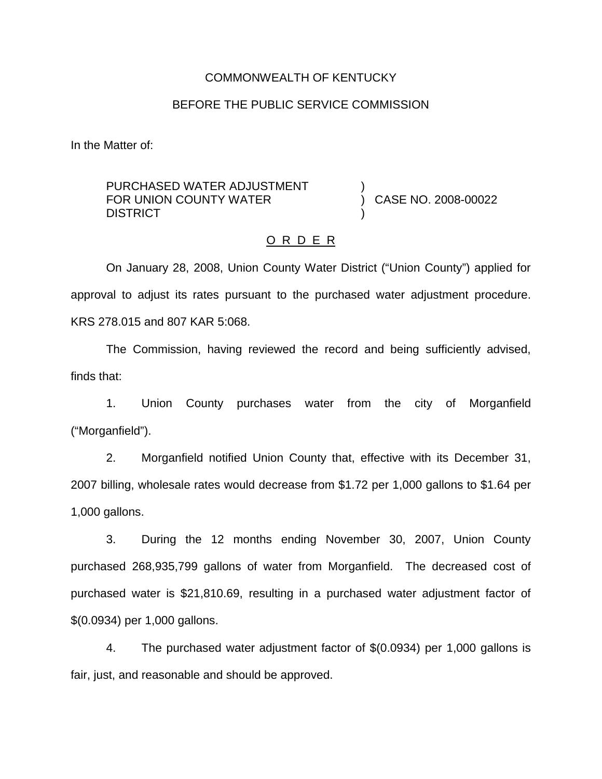#### COMMONWEALTH OF KENTUCKY

### BEFORE THE PUBLIC SERVICE COMMISSION

In the Matter of:

PURCHASED WATER ADJUSTMENT FOR UNION COUNTY WATER **DISTRICT** ) ) CASE NO. 2008-00022 )

#### O R D E R

On January 28, 2008, Union County Water District ("Union County") applied for approval to adjust its rates pursuant to the purchased water adjustment procedure. KRS 278.015 and 807 KAR 5:068.

The Commission, having reviewed the record and being sufficiently advised, finds that:

1. Union County purchases water from the city of Morganfield ("Morganfield").

2. Morganfield notified Union County that, effective with its December 31, 2007 billing, wholesale rates would decrease from \$1.72 per 1,000 gallons to \$1.64 per 1,000 gallons.

3. During the 12 months ending November 30, 2007, Union County purchased 268,935,799 gallons of water from Morganfield. The decreased cost of purchased water is \$21,810.69, resulting in a purchased water adjustment factor of \$(0.0934) per 1,000 gallons.

4. The purchased water adjustment factor of \$(0.0934) per 1,000 gallons is fair, just, and reasonable and should be approved.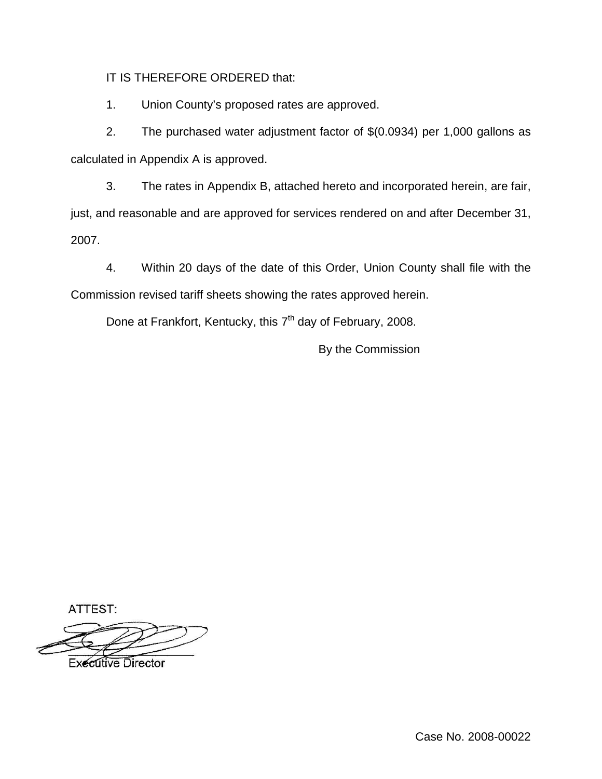IT IS THEREFORE ORDERED that:

1. Union County's proposed rates are approved.

2. The purchased water adjustment factor of \$(0.0934) per 1,000 gallons as calculated in Appendix A is approved.

3. The rates in Appendix B, attached hereto and incorporated herein, are fair, just, and reasonable and are approved for services rendered on and after December 31, 2007.

4. Within 20 days of the date of this Order, Union County shall file with the Commission revised tariff sheets showing the rates approved herein.

Done at Frankfort, Kentucky, this 7<sup>th</sup> day of February, 2008.

By the Commission

ATTEST:

**Executive Director**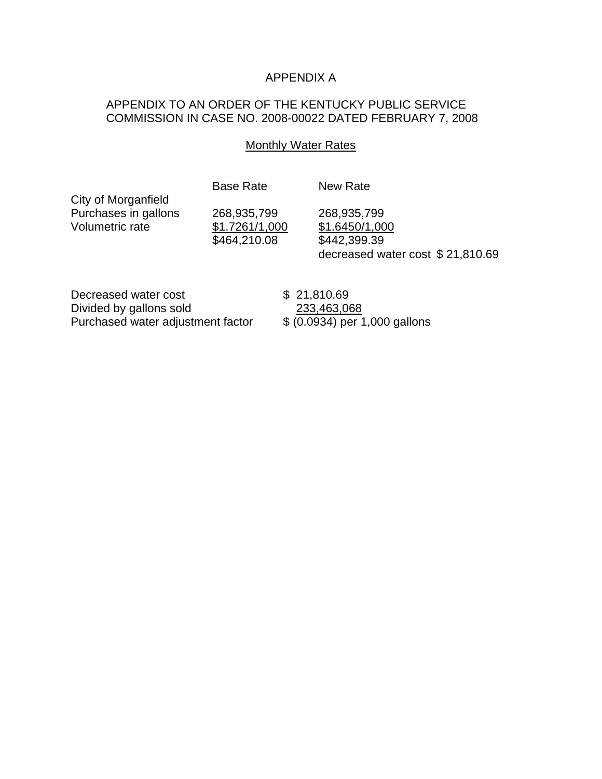# APPENDIX A

# APPENDIX TO AN ORDER OF THE KENTUCKY PUBLIC SERVICE COMMISSION IN CASE NO. 2008-00022 DATED FEBRUARY 7, 2008

## **Monthly Water Rates**

| City of Morganfield  | <b>Base Rate</b>               | New Rate                         |
|----------------------|--------------------------------|----------------------------------|
| Purchases in gallons | 268,935,799                    | 268,935,799                      |
| Volumetric rate      | \$1.7261/1,000<br>\$464,210.08 | \$1.6450/1,000<br>\$442,399.39   |
|                      |                                | decreased water cost \$21,810.69 |
|                      |                                |                                  |
|                      |                                |                                  |

Decreased water cost \$21,810.69 Divided by gallons sold 233,463,068 Purchased water adjustment factor  $$ (0.0934)$  per 1,000 gallons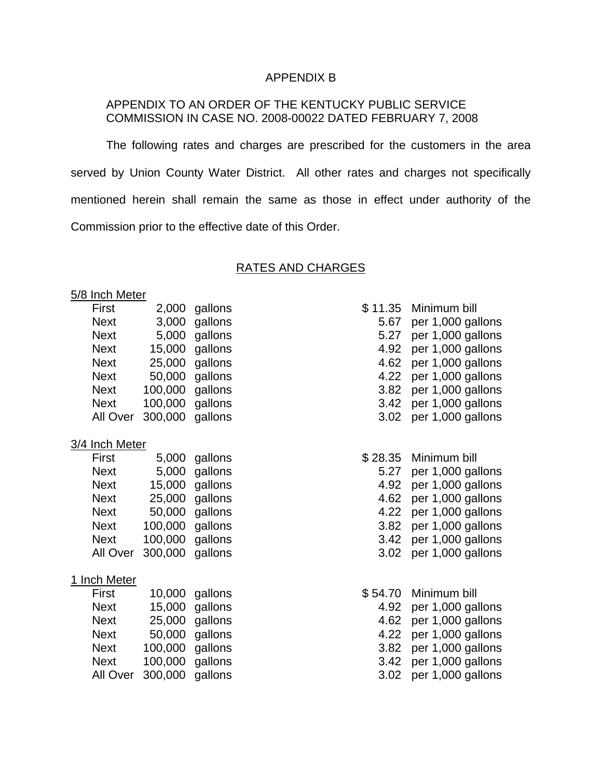### APPENDIX B

## APPENDIX TO AN ORDER OF THE KENTUCKY PUBLIC SERVICE COMMISSION IN CASE NO. 2008-00022 DATED FEBRUARY 7, 2008

The following rates and charges are prescribed for the customers in the area served by Union County Water District. All other rates and charges not specifically mentioned herein shall remain the same as those in effect under authority of the Commission prior to the effective date of this Order.

### RATES AND CHARGES

## 5/8 Inch Meter

| First          | 2,000           | gallons        | \$11.35 | Minimum bill      |
|----------------|-----------------|----------------|---------|-------------------|
| <b>Next</b>    | 3,000           | gallons        | 5.67    | per 1,000 gallons |
| <b>Next</b>    |                 | 5,000 gallons  | 5.27    | per 1,000 gallons |
| <b>Next</b>    |                 | 15,000 gallons | 4.92    | per 1,000 gallons |
| <b>Next</b>    |                 | 25,000 gallons | 4.62    | per 1,000 gallons |
| <b>Next</b>    |                 | 50,000 gallons | 4.22    | per 1,000 gallons |
| <b>Next</b>    | 100,000 gallons |                | 3.82    | per 1,000 gallons |
| <b>Next</b>    | 100,000         | gallons        | 3.42    | per 1,000 gallons |
| All Over       | 300,000         | gallons        | 3.02    | per 1,000 gallons |
| 3/4 Inch Meter |                 |                |         |                   |
| First          |                 | 5,000 gallons  | \$28.35 | Minimum bill      |
| <b>Next</b>    | 5,000           | gallons        | 5.27    | per 1,000 gallons |
| <b>Next</b>    |                 | 15,000 gallons | 4.92    | per 1,000 gallons |
| <b>Next</b>    |                 | 25,000 gallons | 4.62    | per 1,000 gallons |
| <b>Next</b>    |                 | 50,000 gallons | 4.22    | per 1,000 gallons |
| <b>Next</b>    | 100,000 gallons |                | 3.82    | per 1,000 gallons |
| <b>Next</b>    | 100,000         | gallons        | 3.42    | per 1,000 gallons |
| All Over       | 300,000         | gallons        | 3.02    | per 1,000 gallons |
| 1 Inch Meter   |                 |                |         |                   |
| First          | 10,000          | gallons        | \$54.70 | Minimum bill      |
| <b>Next</b>    |                 | 15,000 gallons | 4.92    | per 1,000 gallons |
| <b>Next</b>    |                 | 25,000 gallons | 4.62    | per 1,000 gallons |
| <b>Next</b>    |                 | 50,000 gallons | 4.22    | per 1,000 gallons |
| <b>Next</b>    | 100,000         | gallons        | 3.82    | per 1,000 gallons |

| \$11.35 | Minimum bill      |
|---------|-------------------|
| 5.67    | per 1,000 gallons |
| 5.27    | per 1,000 gallons |
| 4.92    | per 1,000 gallons |
| 4.62    | per 1,000 gallons |
| 4.22    | per 1,000 gallons |
| 3.82    | per 1,000 gallons |
| 3.42    | per 1,000 gallons |
| 3.02    | per 1,000 gallons |
| \$28.35 | Minimum bill      |

| ມ ຂບ.ບບ | IVIII III I IUI I I I IUI I |
|---------|-----------------------------|
| 5.27    | per 1,000 gallons           |
| 4.92    | per 1,000 gallons           |
| 4.62    | per 1,000 gallons           |
| 4.22    | per 1,000 gallons           |
| 3.82    | per 1,000 gallons           |
| 3.42    | per 1,000 gallons           |
| 3.02    | per 1,000 gallons           |

| First       |                          | $10,000$ gallons | \$54.70 Minimum bill   |
|-------------|--------------------------|------------------|------------------------|
| <b>Next</b> |                          | 15,000 gallons   | 4.92 per 1,000 gallons |
| <b>Next</b> |                          | 25,000 gallons   | 4.62 per 1,000 gallons |
| <b>Next</b> |                          | 50,000 gallons   | 4.22 per 1,000 gallons |
| Next        | 100,000 gallons          |                  | 3.82 per 1,000 gallons |
| Next        | 100,000 gallons          |                  | 3.42 per 1,000 gallons |
|             | All Over 300,000 gallons |                  | 3.02 per 1,000 gallons |